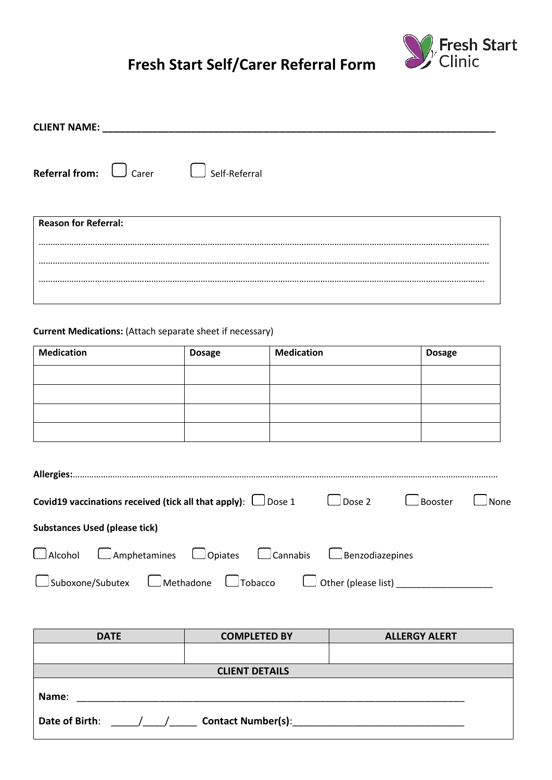## **Fresh Start Self/Carer Referral Form**



| CLIENT NAME:                       |                                                                  |                   |               |
|------------------------------------|------------------------------------------------------------------|-------------------|---------------|
| <b>Referral from:</b> $\Box$ Carer | Self-Referral                                                    |                   |               |
| <b>Reason for Referral:</b>        |                                                                  |                   |               |
|                                    |                                                                  |                   |               |
|                                    | <b>Current Medications:</b> (Attach separate sheet if necessary) |                   |               |
| <b>Medication</b>                  | <b>Dosage</b>                                                    | <b>Medication</b> | <b>Dosage</b> |
|                                    |                                                                  |                   |               |

| Covid19 vaccinations received (tick all that apply): $\Box$ Dose 1                       |  | $\Box$ Dose 2 | └ Booster | $\Box$ None |
|------------------------------------------------------------------------------------------|--|---------------|-----------|-------------|
| <b>Substances Used (please tick)</b>                                                     |  |               |           |             |
| $\Box$ Alcohol $\Box$ Amphetamines $\Box$ Opiates $\Box$ Cannabis $\Box$ Benzodiazepines |  |               |           |             |
| □ Suboxone/Subutex □ Methadone □ Tobacco □ ○ Other (please list) ___                     |  |               |           |             |

| <b>DATE</b>                                 | <b>COMPLETED BY</b>   | <b>ALLERGY ALERT</b> |  |  |  |  |
|---------------------------------------------|-----------------------|----------------------|--|--|--|--|
|                                             |                       |                      |  |  |  |  |
|                                             | <b>CLIENT DETAILS</b> |                      |  |  |  |  |
| Name:                                       |                       |                      |  |  |  |  |
| <b>Contact Number(s):</b><br>Date of Birth: |                       |                      |  |  |  |  |